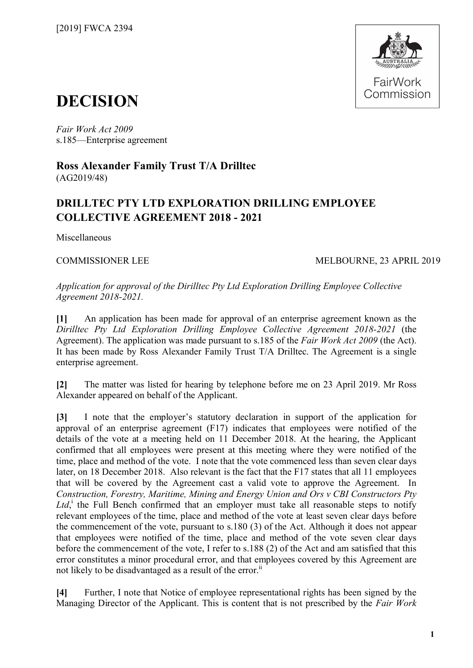

## **DECISION**

*Fair Work Act 2009*  s.185—Enterprise agreement

**Ross Alexander Family Trust T/A Drilltec** (AG2019/48)

## **DRILLTEC PTY LTD EXPLORATION DRILLING EMPLOYEE COLLECTIVE AGREEMENT 2018 - 2021**

Miscellaneous

## COMMISSIONER LEE MELBOURNE, 23 APRIL 2019

*Application for approval of the Dirilltec Pty Ltd Exploration Drilling Employee Collective Agreement 2018-2021.*

**[1]** An application has been made for approval of an enterprise agreement known as the *Dirilltec Pty Ltd Exploration Drilling Employee Collective Agreement 2018-2021* (the Agreement). The application was made pursuant to s.185 of the *Fair Work Act 2009* (the Act). It has been made by Ross Alexander Family Trust T/A Drilltec. The Agreement is a single enterprise agreement.

**[2]** The matter was listed for hearing by telephone before me on 23 April 2019. Mr Ross Alexander appeared on behalf of the Applicant.

**[3]** I note that the employer's statutory declaration in support of the application for approval of an enterprise agreement (F17) indicates that employees were notified of the details of the vote at a meeting held on 11 December 2018. At the hearing, the Applicant confirmed that all employees were present at this meeting where they were notified of the time, place and method of the vote. I note that the vote commenced less than seven clear days later, on 18 December 2018. Also relevant is the fact that the F17 states that all 11 employees that will be covered by the Agreement cast a valid vote to approve the Agreement. In *Construction, Forestry, Maritime, Mining and Energy Union and Ors v CBI Constructors Pty*  Ltd,<sup>[i](#page-1-0)</sup> the Full Bench confirmed that an employer must take all reasonable steps to notify relevant employees of the time, place and method of the vote at least seven clear days before the commencement of the vote, pursuant to s.180 (3) of the Act. Although it does not appear that employees were notified of the time, place and method of the vote seven clear days before the commencement of the vote, I refer to s.188 (2) of the Act and am satisfied that this error constitutes a minor procedural error, and that employees covered by this Agreement are not likely to be disadvantaged as a result of the error.<sup>[ii](#page-1-1)</sup>

**[4]** Further, I note that Notice of employee representational rights has been signed by the Managing Director of the Applicant. This is content that is not prescribed by the *Fair Work*